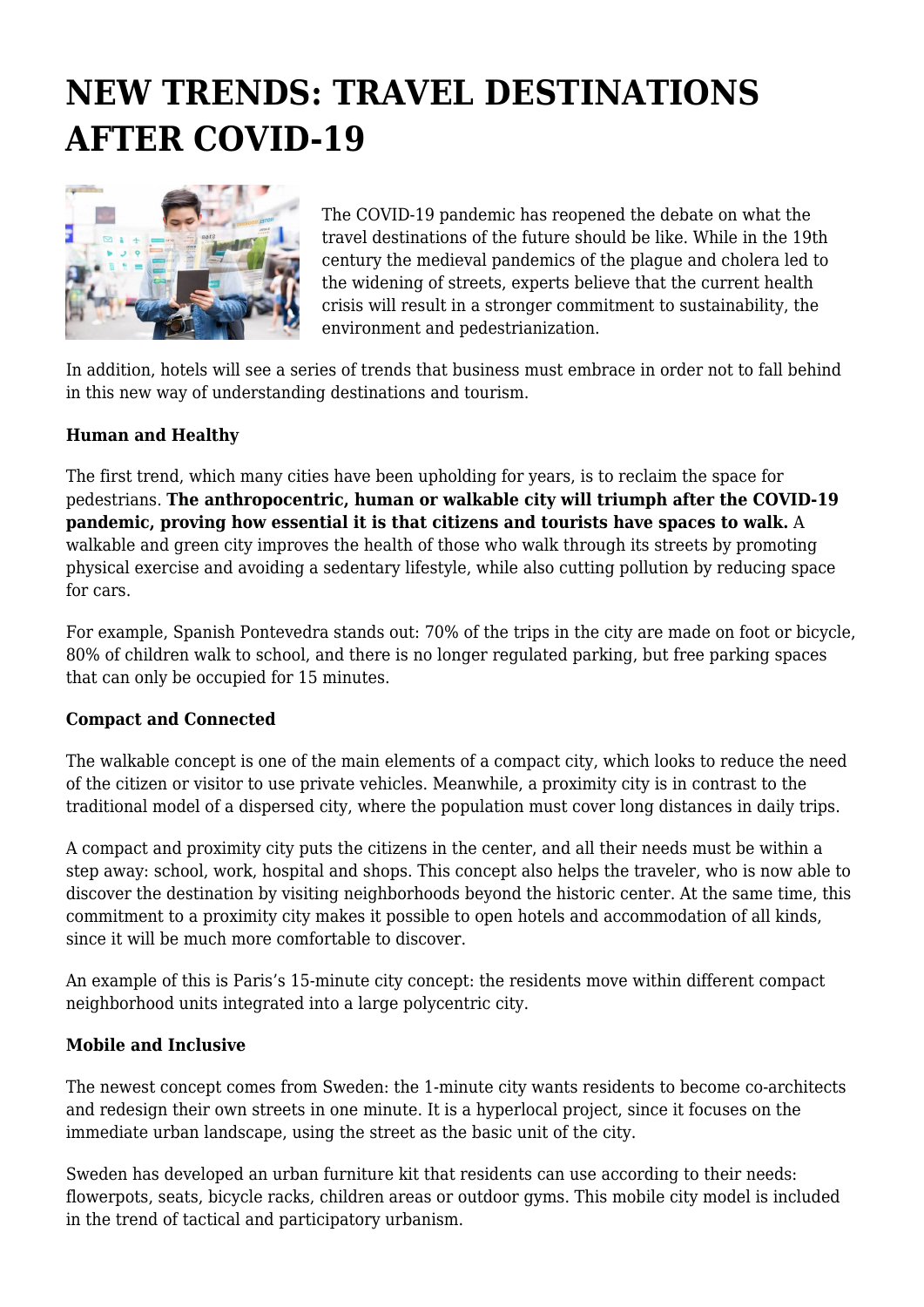# **NEW TRENDS: TRAVEL DESTINATIONS AFTER COVID-19**



The COVID-19 pandemic has reopened the debate on what the travel destinations of the future should be like. While in the 19th century the medieval pandemics of the plague and cholera led to the widening of streets, experts believe that the current health crisis will result in a stronger commitment to sustainability, the environment and pedestrianization.

In addition, hotels will see a series of trends that business must embrace in order not to fall behind in this new way of understanding destinations and tourism.

### **Human and Healthy**

The first trend, which many cities have been upholding for years, is to reclaim the space for pedestrians. **The anthropocentric, human or walkable city will triumph after the COVID-19 pandemic, proving how essential it is that citizens and tourists have spaces to walk.** A walkable and green city improves the health of those who walk through its streets by promoting physical exercise and avoiding a sedentary lifestyle, while also cutting pollution by reducing space for cars.

For example, Spanish Pontevedra stands out: 70% of the trips in the city are made on foot or bicycle, 80% of children walk to school, and there is no longer regulated parking, but free parking spaces that can only be occupied for 15 minutes.

#### **Compact and Connected**

The walkable concept is one of the main elements of a compact city, which looks to reduce the need of the citizen or visitor to use private vehicles. Meanwhile, a proximity city is in contrast to the traditional model of a dispersed city, where the population must cover long distances in daily trips.

A compact and proximity city puts the citizens in the center, and all their needs must be within a step away: school, work, hospital and shops. This concept also helps the traveler, who is now able to discover the destination by visiting neighborhoods beyond the historic center. At the same time, this commitment to a proximity city makes it possible to open hotels and accommodation of all kinds, since it will be much more comfortable to discover.

An example of this is Paris's 15-minute city concept: the residents move within different compact neighborhood units integrated into a large polycentric city.

## **Mobile and Inclusive**

The newest concept comes from Sweden: the 1-minute city wants residents to become co-architects and redesign their own streets in one minute. It is a hyperlocal project, since it focuses on the immediate urban landscape, using the street as the basic unit of the city.

Sweden has developed an urban furniture kit that residents can use according to their needs: flowerpots, seats, bicycle racks, children areas or outdoor gyms. This mobile city model is included in the trend of tactical and participatory urbanism.